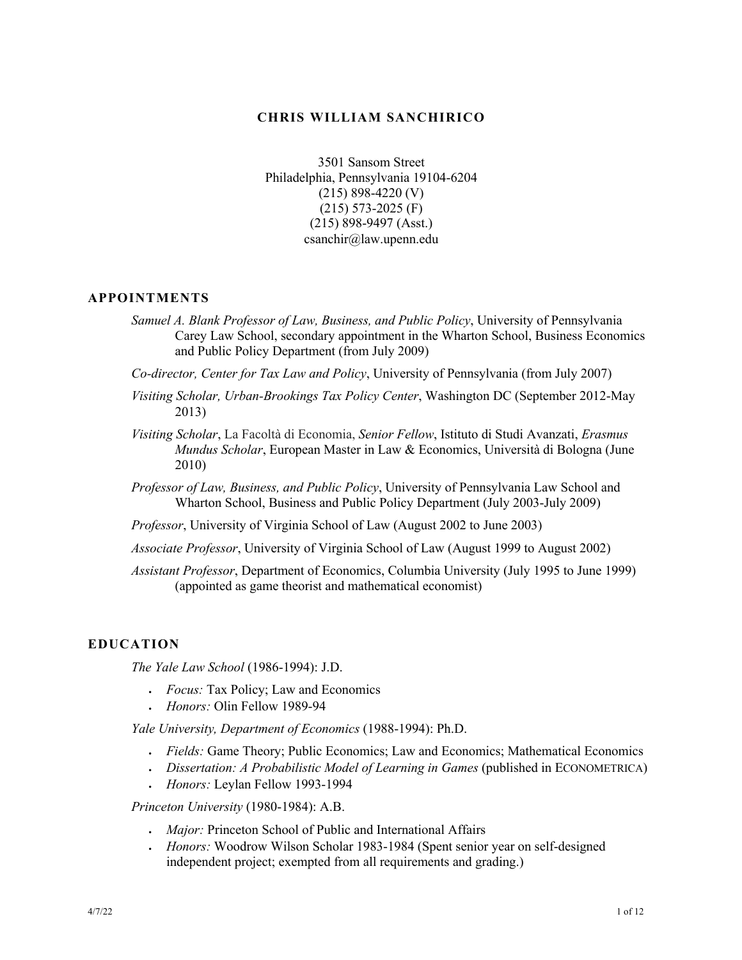## **CHRIS WILLIAM SANCHIRICO**

3501 Sansom Street Philadelphia, Pennsylvania 19104-6204 (215) 898-4220 (V) (215) 573-2025 (F) (215) 898-9497 (Asst.) csanchir@law.upenn.edu

## **APPOINTMENTS**

- *Samuel A. Blank Professor of Law, Business, and Public Policy*, University of Pennsylvania Carey Law School, secondary appointment in the Wharton School, Business Economics and Public Policy Department (from July 2009)
- *Co-director, Center for Tax Law and Policy*, University of Pennsylvania (from July 2007)
- *Visiting Scholar, Urban-Brookings Tax Policy Center*, Washington DC (September 2012-May 2013)
- *Visiting Scholar*, La Facoltà di Economia, *Senior Fellow*, Istituto di Studi Avanzati, *Erasmus Mundus Scholar*, European Master in Law & Economics, Università di Bologna (June 2010)
- *Professor of Law, Business, and Public Policy*, University of Pennsylvania Law School and Wharton School, Business and Public Policy Department (July 2003-July 2009)
- *Professor*, University of Virginia School of Law (August 2002 to June 2003)
- *Associate Professor*, University of Virginia School of Law (August 1999 to August 2002)
- *Assistant Professor*, Department of Economics, Columbia University (July 1995 to June 1999) (appointed as game theorist and mathematical economist)

## **EDUCATION**

*The Yale Law School* (1986-1994): J.D.

- *Focus:* Tax Policy; Law and Economics
- *Honors:* Olin Fellow 1989-94

*Yale University, Department of Economics* (1988-1994): Ph.D.

- *Fields:* Game Theory; Public Economics; Law and Economics; Mathematical Economics
- *Dissertation: A Probabilistic Model of Learning in Games* (published in ECONOMETRICA)
- *Honors:* Leylan Fellow 1993-1994

*Princeton University* (1980-1984): A.B.

- *Major:* Princeton School of Public and International Affairs
- *Honors:* Woodrow Wilson Scholar 1983-1984 (Spent senior year on self-designed independent project; exempted from all requirements and grading.)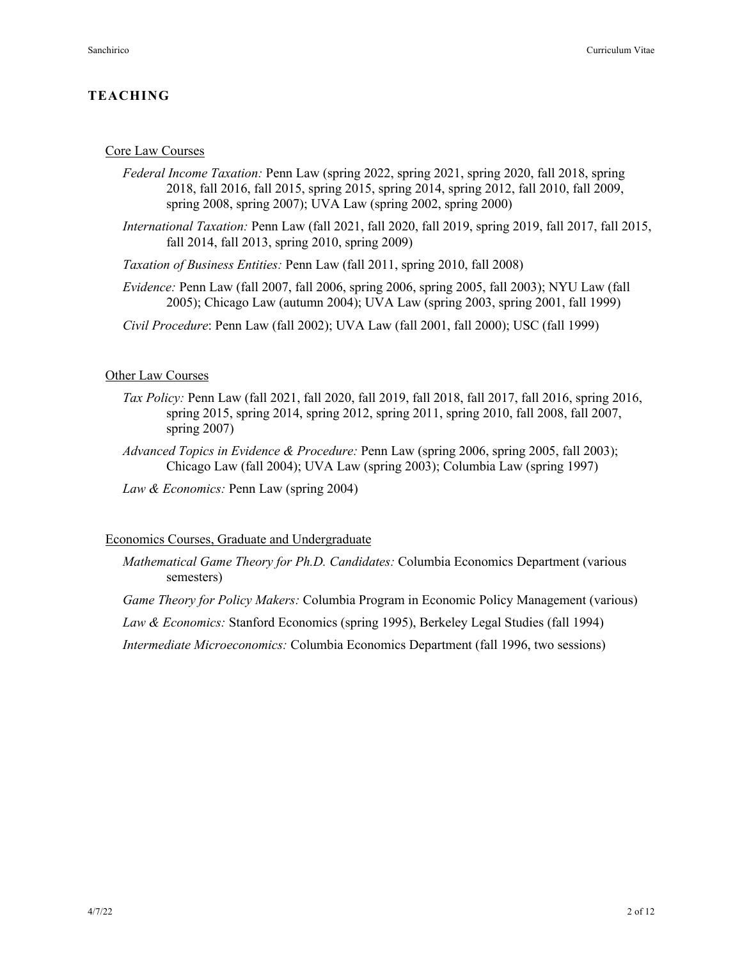## **TEACHING**

#### Core Law Courses

- *Federal Income Taxation:* Penn Law (spring 2022, spring 2021, spring 2020, fall 2018, spring 2018, fall 2016, fall 2015, spring 2015, spring 2014, spring 2012, fall 2010, fall 2009, spring 2008, spring 2007); UVA Law (spring 2002, spring 2000)
- *International Taxation:* Penn Law (fall 2021, fall 2020, fall 2019, spring 2019, fall 2017, fall 2015, fall 2014, fall 2013, spring 2010, spring 2009)
- *Taxation of Business Entities:* Penn Law (fall 2011, spring 2010, fall 2008)
- *Evidence:* Penn Law (fall 2007, fall 2006, spring 2006, spring 2005, fall 2003); NYU Law (fall 2005); Chicago Law (autumn 2004); UVA Law (spring 2003, spring 2001, fall 1999)
- *Civil Procedure*: Penn Law (fall 2002); UVA Law (fall 2001, fall 2000); USC (fall 1999)

### Other Law Courses

- *Tax Policy:* Penn Law (fall 2021, fall 2020, fall 2019, fall 2018, fall 2017, fall 2016, spring 2016, spring 2015, spring 2014, spring 2012, spring 2011, spring 2010, fall 2008, fall 2007, spring 2007)
- *Advanced Topics in Evidence & Procedure:* Penn Law (spring 2006, spring 2005, fall 2003); Chicago Law (fall 2004); UVA Law (spring 2003); Columbia Law (spring 1997)
- *Law & Economics:* Penn Law (spring 2004)

### Economics Courses, Graduate and Undergraduate

- *Mathematical Game Theory for Ph.D. Candidates:* Columbia Economics Department (various semesters)
- *Game Theory for Policy Makers:* Columbia Program in Economic Policy Management (various)

*Law & Economics:* Stanford Economics (spring 1995), Berkeley Legal Studies (fall 1994)

*Intermediate Microeconomics:* Columbia Economics Department (fall 1996, two sessions)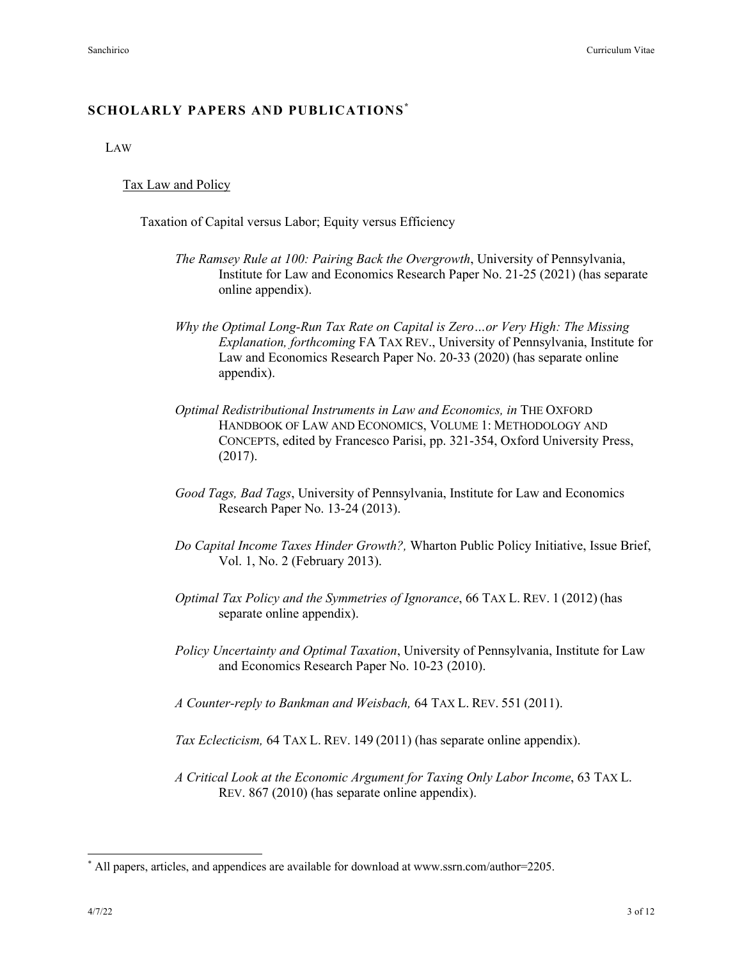## **SCHOLARLY PAPERS AND PUBLICATIONS\***

LAW

#### Tax Law and Policy

Taxation of Capital versus Labor; Equity versus Efficiency

- *The Ramsey Rule at 100: Pairing Back the Overgrowth*, University of Pennsylvania, Institute for Law and Economics Research Paper No. 21-25 (2021) (has separate online appendix).
- *Why the Optimal Long-Run Tax Rate on Capital is Zero…or Very High: The Missing Explanation, forthcoming* FA TAX REV., University of Pennsylvania, Institute for Law and Economics Research Paper No. 20-33 (2020) (has separate online appendix).
- *Optimal Redistributional Instruments in Law and Economics, in* THE OXFORD HANDBOOK OF LAW AND ECONOMICS, VOLUME 1: METHODOLOGY AND CONCEPTS, edited by Francesco Parisi, pp. 321-354, Oxford University Press, (2017).
- *Good Tags, Bad Tags*, University of Pennsylvania, Institute for Law and Economics Research Paper No. 13-24 (2013).
- *Do Capital Income Taxes Hinder Growth?,* Wharton Public Policy Initiative, Issue Brief, Vol. 1, No. 2 (February 2013).
- *Optimal Tax Policy and the Symmetries of Ignorance*, 66 TAX L. REV. 1 (2012) (has separate online appendix).
- *Policy Uncertainty and Optimal Taxation*, University of Pennsylvania, Institute for Law and Economics Research Paper No. 10-23 (2010).
- *A Counter-reply to Bankman and Weisbach,* 64 TAX L. REV. 551 (2011).
- *Tax Eclecticism,* 64 TAX L. REV. 149 (2011) (has separate online appendix).
- *A Critical Look at the Economic Argument for Taxing Only Labor Income*, 63 TAX L. REV. 867 (2010) (has separate online appendix).

<sup>\*</sup> All papers, articles, and appendices are available for download at www.ssrn.com/author=2205.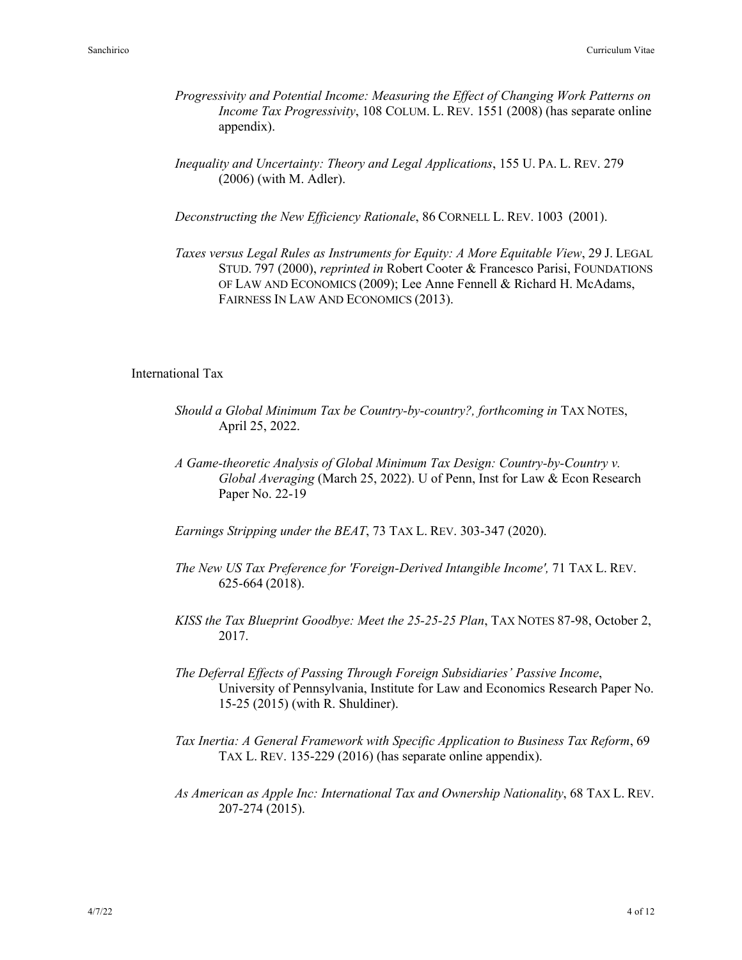- *Progressivity and Potential Income: Measuring the Effect of Changing Work Patterns on Income Tax Progressivity*, 108 COLUM. L. REV. 1551 (2008) (has separate online appendix).
- *Inequality and Uncertainty: Theory and Legal Applications*, 155 U. PA. L. REV. 279 (2006) (with M. Adler).

*Deconstructing the New Efficiency Rationale*, 86 CORNELL L. REV. 1003 (2001).

*Taxes versus Legal Rules as Instruments for Equity: A More Equitable View*, 29 J. LEGAL STUD. 797 (2000), *reprinted in* Robert Cooter & Francesco Parisi, FOUNDATIONS OF LAW AND ECONOMICS (2009); Lee Anne Fennell & Richard H. McAdams, FAIRNESS IN LAW AND ECONOMICS (2013).

### International Tax

- *Should a Global Minimum Tax be Country-by-country?, forthcoming in TAX NOTES,* April 25, 2022.
- *A Game-theoretic Analysis of Global Minimum Tax Design: Country-by-Country v. Global Averaging* (March 25, 2022). U of Penn, Inst for Law & Econ Research Paper No. 22-19
- *Earnings Stripping under the BEAT*, 73 TAX L. REV. 303-347 (2020).
- *The New US Tax Preference for 'Foreign-Derived Intangible Income',* 71 TAX L. REV. 625-664 (2018).
- *KISS the Tax Blueprint Goodbye: Meet the 25-25-25 Plan*, TAX NOTES 87-98, October 2, 2017.
- *The Deferral Effects of Passing Through Foreign Subsidiaries' Passive Income*, University of Pennsylvania, Institute for Law and Economics Research Paper No. 15-25 (2015) (with R. Shuldiner).
- *Tax Inertia: A General Framework with Specific Application to Business Tax Reform*, 69 TAX L. REV. 135-229 (2016) (has separate online appendix).
- *As American as Apple Inc: International Tax and Ownership Nationality*, 68 TAX L. REV. 207-274 (2015).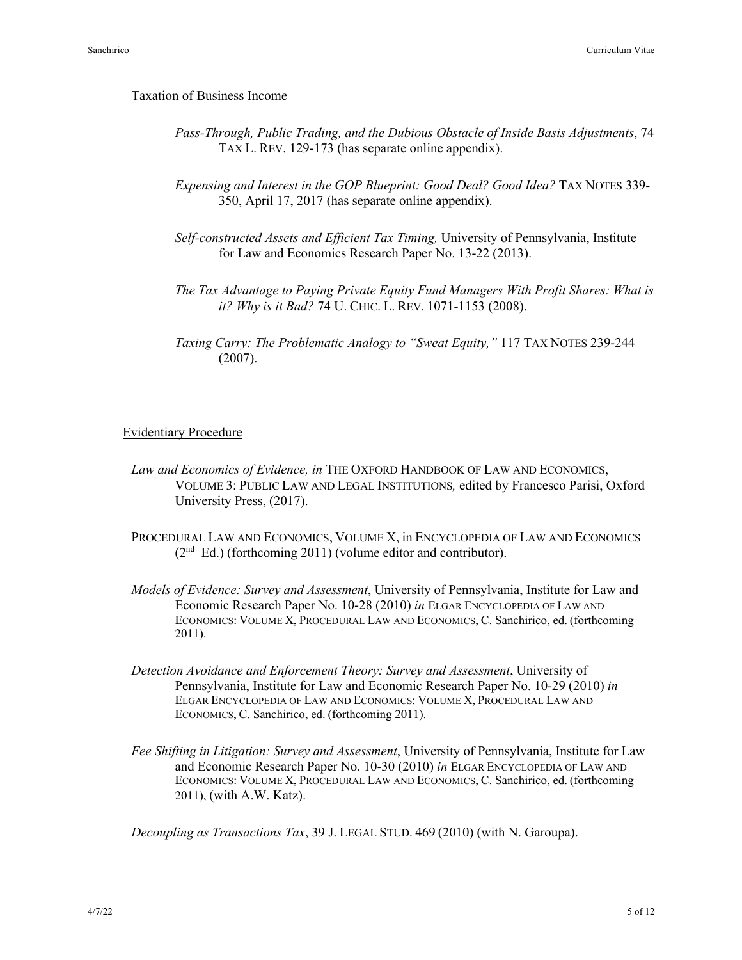#### Taxation of Business Income

- *Pass-Through, Public Trading, and the Dubious Obstacle of Inside Basis Adjustments*, 74 TAX L. REV. 129-173 (has separate online appendix).
- *Expensing and Interest in the GOP Blueprint: Good Deal? Good Idea? TAX NOTES 339-*350, April 17, 2017 (has separate online appendix).
- *Self-constructed Assets and Efficient Tax Timing,* University of Pennsylvania, Institute for Law and Economics Research Paper No. 13-22 (2013).
- *The Tax Advantage to Paying Private Equity Fund Managers With Profit Shares: What is it? Why is it Bad?* 74 U. CHIC. L. REV. 1071-1153 (2008).
- *Taxing Carry: The Problematic Analogy to "Sweat Equity,"* 117 TAX NOTES 239-244 (2007).

### Evidentiary Procedure

- *Law and Economics of Evidence, in* THE OXFORD HANDBOOK OF LAW AND ECONOMICS, VOLUME 3: PUBLIC LAW AND LEGAL INSTITUTIONS*,* edited by Francesco Parisi, Oxford University Press, (2017).
- PROCEDURAL LAW AND ECONOMICS, VOLUME X, in ENCYCLOPEDIA OF LAW AND ECONOMICS  $(2<sup>nd</sup> Ed.)$  (forthcoming 2011) (volume editor and contributor).
- *Models of Evidence: Survey and Assessment*, University of Pennsylvania, Institute for Law and Economic Research Paper No. 10-28 (2010) *in* ELGAR ENCYCLOPEDIA OF LAW AND ECONOMICS: VOLUME X, PROCEDURAL LAW AND ECONOMICS, C. Sanchirico, ed. (forthcoming 2011).
- *Detection Avoidance and Enforcement Theory: Survey and Assessment*, University of Pennsylvania, Institute for Law and Economic Research Paper No. 10-29 (2010) *in* ELGAR ENCYCLOPEDIA OF LAW AND ECONOMICS: VOLUME X, PROCEDURAL LAW AND ECONOMICS, C. Sanchirico, ed. (forthcoming 2011).
- *Fee Shifting in Litigation: Survey and Assessment*, University of Pennsylvania, Institute for Law and Economic Research Paper No. 10-30 (2010) *in* ELGAR ENCYCLOPEDIA OF LAW AND ECONOMICS: VOLUME X, PROCEDURAL LAW AND ECONOMICS, C. Sanchirico, ed. (forthcoming 2011), (with A.W. Katz).

*Decoupling as Transactions Tax*, 39 J. LEGAL STUD. 469 (2010) (with N. Garoupa).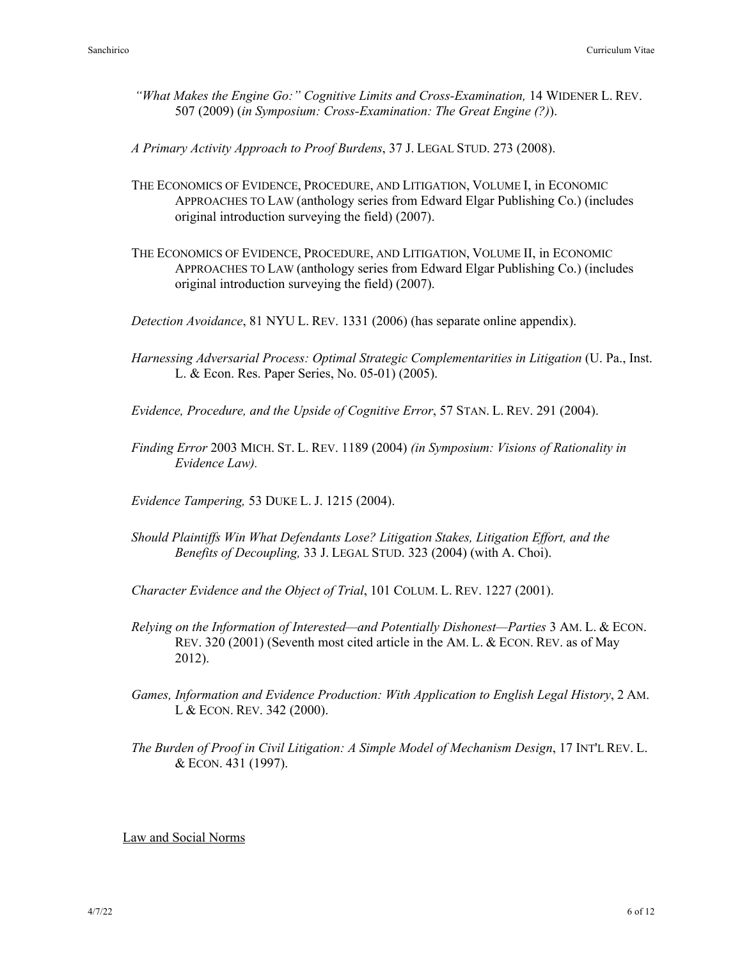*"What Makes the Engine Go:" Cognitive Limits and Cross-Examination,* 14 WIDENER L. REV. 507 (2009) (*in Symposium: Cross-Examination: The Great Engine (?)*).

*A Primary Activity Approach to Proof Burdens*, 37 J. LEGAL STUD. 273 (2008).

- THE ECONOMICS OF EVIDENCE, PROCEDURE, AND LITIGATION, VOLUME I, in ECONOMIC APPROACHES TO LAW (anthology series from Edward Elgar Publishing Co.) (includes original introduction surveying the field) (2007).
- THE ECONOMICS OF EVIDENCE, PROCEDURE, AND LITIGATION, VOLUME II, in ECONOMIC APPROACHES TO LAW (anthology series from Edward Elgar Publishing Co.) (includes original introduction surveying the field) (2007).

*Detection Avoidance*, 81 NYU L. REV. 1331 (2006) (has separate online appendix).

*Harnessing Adversarial Process: Optimal Strategic Complementarities in Litigation* (U. Pa., Inst. L. & Econ. Res. Paper Series, No. 05-01) (2005).

*Evidence, Procedure, and the Upside of Cognitive Error*, 57 STAN. L. REV. 291 (2004).

*Finding Error* 2003 MICH. ST. L. REV. 1189 (2004) *(in Symposium: Visions of Rationality in Evidence Law).*

*Evidence Tampering,* 53 DUKE L. J. 1215 (2004).

*Should Plaintiffs Win What Defendants Lose? Litigation Stakes, Litigation Effort, and the Benefits of Decoupling,* 33 J. LEGAL STUD. 323 (2004) (with A. Choi).

*Character Evidence and the Object of Trial*, 101 COLUM. L. REV. 1227 (2001).

- *Relying on the Information of Interested—and Potentially Dishonest—Parties* 3 AM. L. & ECON. REV. 320 (2001) (Seventh most cited article in the AM. L. & ECON. REV. as of May 2012).
- *Games, Information and Evidence Production: With Application to English Legal History*, 2 AM. L & ECON. REV. 342 (2000).
- *The Burden of Proof in Civil Litigation: A Simple Model of Mechanism Design*, 17 INT'L REV. L. & ECON. 431 (1997).

Law and Social Norms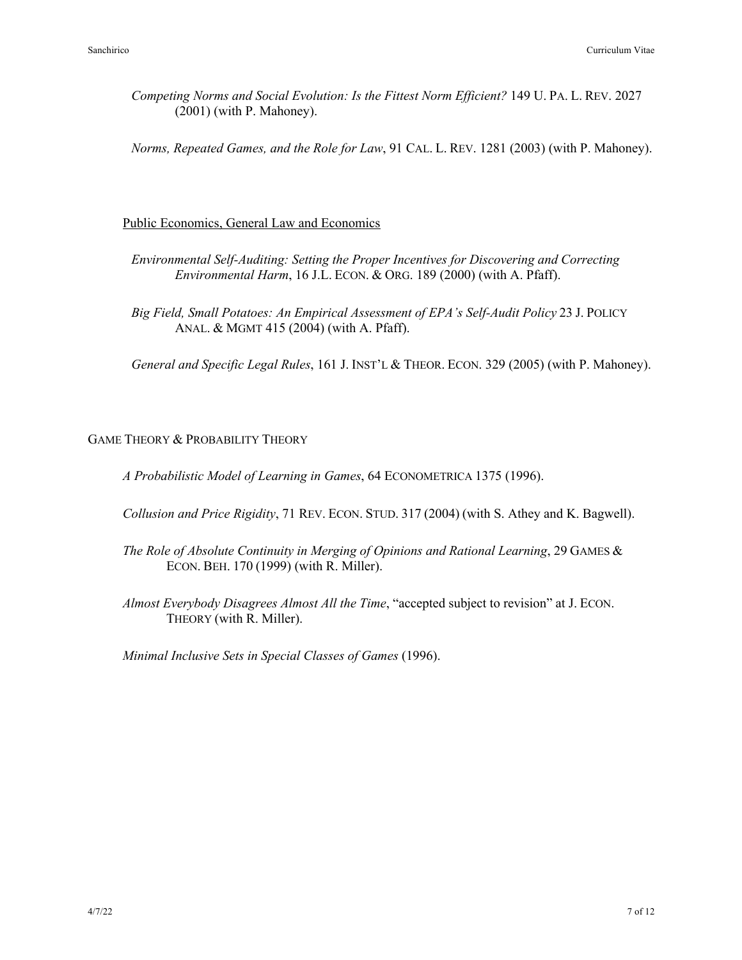*Competing Norms and Social Evolution: Is the Fittest Norm Efficient?* 149 U. PA. L. REV. 2027 (2001) (with P. Mahoney).

*Norms, Repeated Games, and the Role for Law*, 91 CAL. L. REV. 1281 (2003) (with P. Mahoney).

## Public Economics, General Law and Economics

- *Environmental Self-Auditing: Setting the Proper Incentives for Discovering and Correcting Environmental Harm*, 16 J.L. ECON. & ORG. 189 (2000) (with A. Pfaff).
- *Big Field, Small Potatoes: An Empirical Assessment of EPA's Self-Audit Policy* 23 J. POLICY ANAL. & MGMT 415 (2004) (with A. Pfaff).

*General and Specific Legal Rules*, 161 J. INST'L & THEOR. ECON. 329 (2005) (with P. Mahoney).

## GAME THEORY & PROBABILITY THEORY

*A Probabilistic Model of Learning in Games*, 64 ECONOMETRICA 1375 (1996).

- *Collusion and Price Rigidity*, 71 REV. ECON. STUD. 317 (2004) (with S. Athey and K. Bagwell).
- *The Role of Absolute Continuity in Merging of Opinions and Rational Learning*, 29 GAMES & ECON. BEH. 170 (1999) (with R. Miller).
- *Almost Everybody Disagrees Almost All the Time*, "accepted subject to revision" at J. ECON. THEORY (with R. Miller).

*Minimal Inclusive Sets in Special Classes of Games* (1996).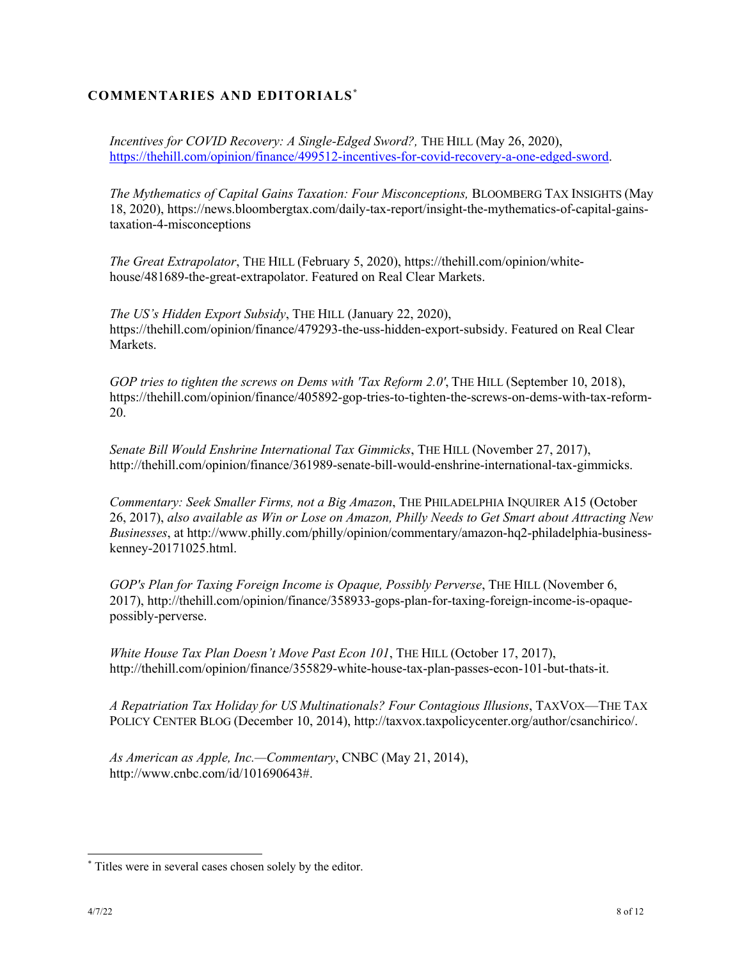# **COMMENTARIES AND EDITORIALS\***

*Incentives for COVID Recovery: A Single-Edged Sword?, THE HILL (May 26, 2020),* https://thehill.com/opinion/finance/499512-incentives-for-covid-recovery-a-one-edged-sword.

*The Mythematics of Capital Gains Taxation: Four Misconceptions,* BLOOMBERG TAX INSIGHTS (May 18, 2020), https://news.bloombergtax.com/daily-tax-report/insight-the-mythematics-of-capital-gainstaxation-4-misconceptions

*The Great Extrapolator*, THE HILL (February 5, 2020), https://thehill.com/opinion/whitehouse/481689-the-great-extrapolator. Featured on Real Clear Markets.

*The US's Hidden Export Subsidy*, THE HILL (January 22, 2020), https://thehill.com/opinion/finance/479293-the-uss-hidden-export-subsidy. Featured on Real Clear Markets.

*GOP tries to tighten the screws on Dems with 'Tax Reform 2.0'*, THE HILL (September 10, 2018), https://thehill.com/opinion/finance/405892-gop-tries-to-tighten-the-screws-on-dems-with-tax-reform-20.

*Senate Bill Would Enshrine International Tax Gimmicks*, THE HILL (November 27, 2017), http://thehill.com/opinion/finance/361989-senate-bill-would-enshrine-international-tax-gimmicks.

*Commentary: Seek Smaller Firms, not a Big Amazon*, THE PHILADELPHIA INQUIRER A15 (October 26, 2017), *also available as Win or Lose on Amazon, Philly Needs to Get Smart about Attracting New Businesses*, at http://www.philly.com/philly/opinion/commentary/amazon-hq2-philadelphia-businesskenney-20171025.html.

*GOP's Plan for Taxing Foreign Income is Opaque, Possibly Perverse*, THE HILL (November 6, 2017), http://thehill.com/opinion/finance/358933-gops-plan-for-taxing-foreign-income-is-opaquepossibly-perverse.

*White House Tax Plan Doesn't Move Past Econ 101*, THE HILL (October 17, 2017), http://thehill.com/opinion/finance/355829-white-house-tax-plan-passes-econ-101-but-thats-it.

*A Repatriation Tax Holiday for US Multinationals? Four Contagious Illusions*, TAXVOX—THE TAX POLICY CENTER BLOG (December 10, 2014), http://taxvox.taxpolicycenter.org/author/csanchirico/.

*As American as Apple, Inc.—Commentary*, CNBC (May 21, 2014), http://www.cnbc.com/id/101690643#.

<sup>\*</sup> Titles were in several cases chosen solely by the editor.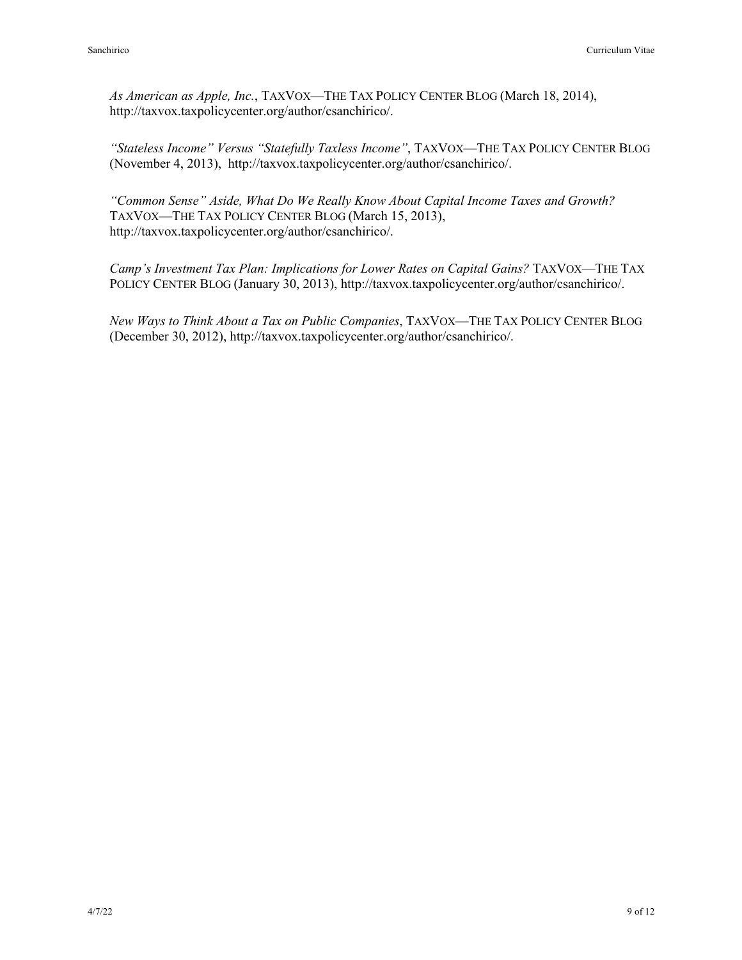*As American as Apple, Inc.*, TAXVOX—THE TAX POLICY CENTER BLOG (March 18, 2014), http://taxvox.taxpolicycenter.org/author/csanchirico/.

*"Stateless Income" Versus "Statefully Taxless Income"*, TAXVOX—THE TAX POLICY CENTER BLOG (November 4, 2013), http://taxvox.taxpolicycenter.org/author/csanchirico/.

*"Common Sense" Aside, What Do We Really Know About Capital Income Taxes and Growth?* TAXVOX—THE TAX POLICY CENTER BLOG (March 15, 2013), http://taxvox.taxpolicycenter.org/author/csanchirico/.

*Camp's Investment Tax Plan: Implications for Lower Rates on Capital Gains?* TAXVOX—THE TAX POLICY CENTER BLOG (January 30, 2013), http://taxvox.taxpolicycenter.org/author/csanchirico/.

*New Ways to Think About a Tax on Public Companies*, TAXVOX—THE TAX POLICY CENTER BLOG (December 30, 2012), http://taxvox.taxpolicycenter.org/author/csanchirico/.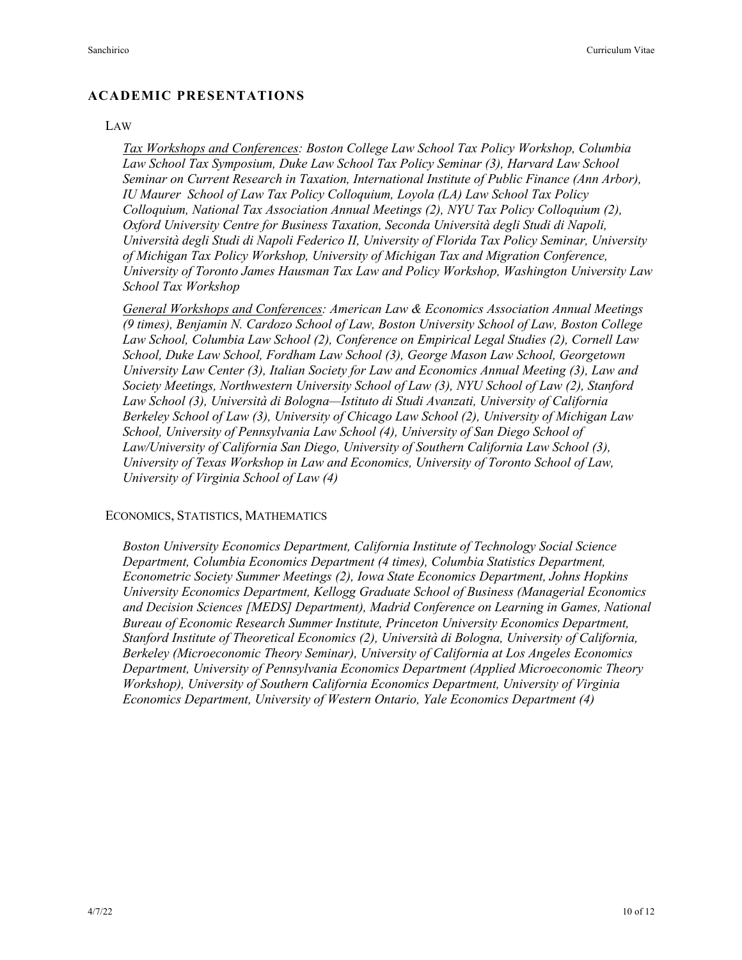## **ACADEMIC PRESENTATIONS**

#### LAW

*Tax Workshops and Conferences: Boston College Law School Tax Policy Workshop, Columbia Law School Tax Symposium, Duke Law School Tax Policy Seminar (3), Harvard Law School Seminar on Current Research in Taxation, International Institute of Public Finance (Ann Arbor), IU Maurer School of Law Tax Policy Colloquium, Loyola (LA) Law School Tax Policy Colloquium, National Tax Association Annual Meetings (2), NYU Tax Policy Colloquium (2), Oxford University Centre for Business Taxation, Seconda Università degli Studi di Napoli, Università degli Studi di Napoli Federico II, University of Florida Tax Policy Seminar, University of Michigan Tax Policy Workshop, University of Michigan Tax and Migration Conference, University of Toronto James Hausman Tax Law and Policy Workshop, Washington University Law School Tax Workshop*

*General Workshops and Conferences: American Law & Economics Association Annual Meetings (9 times), Benjamin N. Cardozo School of Law, Boston University School of Law, Boston College Law School, Columbia Law School (2), Conference on Empirical Legal Studies (2), Cornell Law School, Duke Law School, Fordham Law School (3), George Mason Law School, Georgetown University Law Center (3), Italian Society for Law and Economics Annual Meeting (3), Law and Society Meetings, Northwestern University School of Law (3), NYU School of Law (2), Stanford Law School (3), Università di Bologna—Istituto di Studi Avanzati, University of California Berkeley School of Law (3), University of Chicago Law School (2), University of Michigan Law School, University of Pennsylvania Law School (4), University of San Diego School of Law/University of California San Diego, University of Southern California Law School (3), University of Texas Workshop in Law and Economics, University of Toronto School of Law, University of Virginia School of Law (4)*

#### ECONOMICS, STATISTICS, MATHEMATICS

*Boston University Economics Department, California Institute of Technology Social Science Department, Columbia Economics Department (4 times), Columbia Statistics Department, Econometric Society Summer Meetings (2), Iowa State Economics Department, Johns Hopkins University Economics Department, Kellogg Graduate School of Business (Managerial Economics and Decision Sciences [MEDS] Department), Madrid Conference on Learning in Games, National Bureau of Economic Research Summer Institute, Princeton University Economics Department, Stanford Institute of Theoretical Economics (2), Università di Bologna, University of California, Berkeley (Microeconomic Theory Seminar), University of California at Los Angeles Economics Department, University of Pennsylvania Economics Department (Applied Microeconomic Theory Workshop), University of Southern California Economics Department, University of Virginia Economics Department, University of Western Ontario, Yale Economics Department (4)*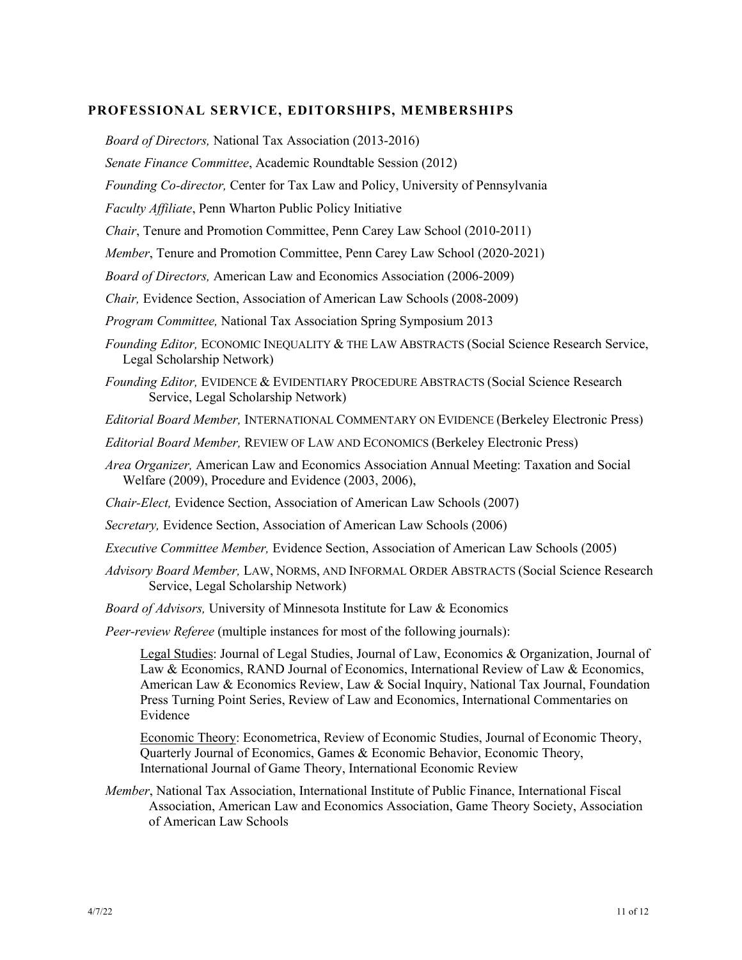## **PROFESSIONAL SERVICE, EDITORSHIPS, MEMBERSHIPS**

*Board of Directors,* National Tax Association (2013-2016) *Senate Finance Committee*, Academic Roundtable Session (2012) *Founding Co-director,* Center for Tax Law and Policy, University of Pennsylvania *Faculty Affiliate*, Penn Wharton Public Policy Initiative *Chair*, Tenure and Promotion Committee, Penn Carey Law School (2010-2011) *Member*, Tenure and Promotion Committee, Penn Carey Law School (2020-2021) *Board of Directors,* American Law and Economics Association (2006-2009) *Chair,* Evidence Section, Association of American Law Schools (2008-2009) *Program Committee,* National Tax Association Spring Symposium 2013 *Founding Editor,* ECONOMIC INEQUALITY & THE LAW ABSTRACTS (Social Science Research Service, Legal Scholarship Network) *Founding Editor,* EVIDENCE & EVIDENTIARY PROCEDURE ABSTRACTS (Social Science Research Service, Legal Scholarship Network) *Editorial Board Member,* INTERNATIONAL COMMENTARY ON EVIDENCE (Berkeley Electronic Press) *Editorial Board Member,* REVIEW OF LAW AND ECONOMICS (Berkeley Electronic Press) *Area Organizer,* American Law and Economics Association Annual Meeting: Taxation and Social Welfare (2009), Procedure and Evidence (2003, 2006), *Chair-Elect,* Evidence Section, Association of American Law Schools (2007) *Secretary, Evidence Section, Association of American Law Schools (2006) Executive Committee Member,* Evidence Section, Association of American Law Schools (2005) *Advisory Board Member,* LAW, NORMS, AND INFORMAL ORDER ABSTRACTS (Social Science Research Service, Legal Scholarship Network) *Board of Advisors,* University of Minnesota Institute for Law & Economics *Peer-review Referee* (multiple instances for most of the following journals): Legal Studies: Journal of Legal Studies, Journal of Law, Economics & Organization, Journal of Law & Economics, RAND Journal of Economics, International Review of Law & Economics, American Law & Economics Review, Law & Social Inquiry, National Tax Journal, Foundation Press Turning Point Series, Review of Law and Economics, International Commentaries on Evidence Economic Theory: Econometrica, Review of Economic Studies, Journal of Economic Theory, Quarterly Journal of Economics, Games & Economic Behavior, Economic Theory, International Journal of Game Theory, International Economic Review *Member*, National Tax Association, International Institute of Public Finance, International Fiscal Association, American Law and Economics Association, Game Theory Society, Association of American Law Schools